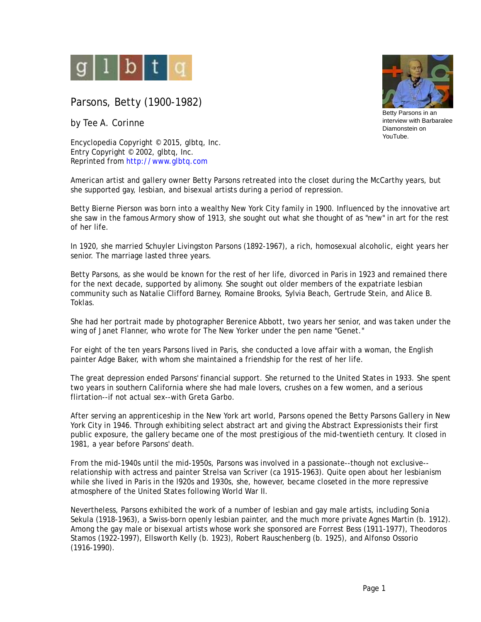

Parsons, Betty (1900-1982)

by Tee A. Corinne

Encyclopedia Copyright © 2015, glbtq, Inc. Entry Copyright © 2002, glbtq, Inc. Reprinted from<http://www.glbtq.com>



Betty Parsons in an interview with Barbaralee Diamonstein on YouTube.

American artist and gallery owner Betty Parsons retreated into the closet during the McCarthy years, but she supported gay, lesbian, and bisexual artists during a period of repression.

Betty Bierne Pierson was born into a wealthy New York City family in 1900. Influenced by the innovative art she saw in the famous Armory show of 1913, she sought out what she thought of as "new" in art for the rest of her life.

In 1920, she married Schuyler Livingston Parsons (1892-1967), a rich, homosexual alcoholic, eight years her senior. The marriage lasted three years.

Betty Parsons, as she would be known for the rest of her life, divorced in Paris in 1923 and remained there for the next decade, supported by alimony. She sought out older members of the expatriate lesbian community such as Natalie Clifford Barney, Romaine Brooks, Sylvia Beach, Gertrude Stein, and Alice B. Toklas.

She had her portrait made by photographer Berenice Abbott, two years her senior, and was taken under the wing of Janet Flanner, who wrote for *The New Yorker* under the pen name "Genet."

For eight of the ten years Parsons lived in Paris, she conducted a love affair with a woman, the English painter Adge Baker, with whom she maintained a friendship for the rest of her life.

The great depression ended Parsons' financial support. She returned to the United States in 1933. She spent two years in southern California where she had male lovers, crushes on a few women, and a serious flirtation--if not actual sex--with Greta Garbo.

After serving an apprenticeship in the New York art world, Parsons opened the Betty Parsons Gallery in New York City in 1946. Through exhibiting select abstract art and giving the Abstract Expressionists their first public exposure, the gallery became one of the most prestigious of the mid-twentieth century. It closed in 1981, a year before Parsons' death.

From the mid-1940s until the mid-1950s, Parsons was involved in a passionate--though not exclusive- relationship with actress and painter Strelsa van Scriver (*ca* 1915-1963). Quite open about her lesbianism while she lived in Paris in the l920s and 1930s, she, however, became closeted in the more repressive atmosphere of the United States following World War II.

Nevertheless, Parsons exhibited the work of a number of lesbian and gay male artists, including Sonia Sekula (1918-1963), a Swiss-born openly lesbian painter, and the much more private Agnes Martin (b. 1912). Among the gay male or bisexual artists whose work she sponsored are Forrest Bess (1911-1977), Theodoros Stamos (1922-1997), Ellsworth Kelly (b. 1923), Robert Rauschenberg (b. 1925), and Alfonso Ossorio (1916-1990).